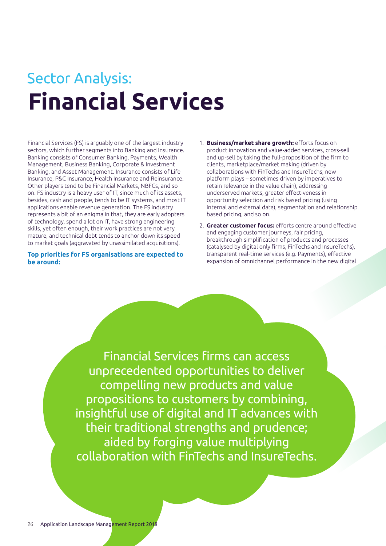# **Financial Services** Sector Analysis:

Financial Services (FS) is arguably one of the largest industry sectors, which further segments into Banking and Insurance. Banking consists of Consumer Banking, Payments, Wealth Management, Business Banking, Corporate & Investment Banking, and Asset Management. Insurance consists of Life Insurance, P&C Insurance, Health Insurance and Reinsurance. Other players tend to be Financial Markets, NBFCs, and so on. FS industry is a heavy user of IT, since much of its assets, besides, cash and people, tends to be IT systems, and most IT applications enable revenue generation. The FS industry represents a bit of an enigma in that, they are early adopters of technology, spend a lot on IT, have strong engineering skills, yet often enough, their work practices are not very mature, and technical debt tends to anchor down its speed to market goals (aggravated by unassimilated acquisitions).

**Top priorities for FS organisations are expected to be around:** 

- 1. **Business/market share growth:** efforts focus on product innovation and value-added services, cross-sell and up-sell by taking the full-proposition of the firm to clients, marketplace/market making (driven by collaborations with FinTechs and InsureTechs; new platform plays – sometimes driven by imperatives to retain relevance in the value chain), addressing underserved markets, greater effectiveness in opportunity selection and risk based pricing (using internal and external data), segmentation and relationship based pricing, and so on.
- 2. **Greater customer focus:** efforts centre around effective and engaging customer journeys, fair pricing, breakthrough simplification of products and processes (catalysed by digital only firms, FinTechs and InsureTechs), transparent real-time services (e.g. Payments), effective expansion of omnichannel performance in the new digital

Financial Services firms can access unprecedented opportunities to deliver compelling new products and value propositions to customers by combining, insightful use of digital and IT advances with their traditional strengths and prudence; aided by forging value multiplying collaboration with FinTechs and InsureTechs.

í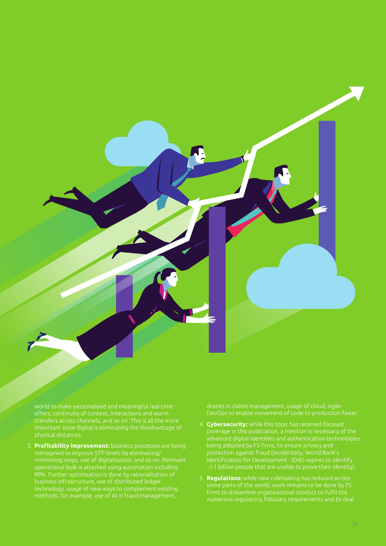

world to make personalised and meaningful real-time offers, continuity of context, interactions and warm important since digital is eliminating the disadvantage of

3. **Profitability improvement:** business processes are being reimagined to improve STP levels by eliminating/ minimising steps, use of digitalisation, and so on. Remnant business infrastructure, use of distributed ledger technology, usage of new ways to complement existing methods, for example, use of AI in fraud management,

drones in claims management, usage of cloud, Agile-DevOps to enable movement of code to production faster.

- 4. **Cybersecurity:** while this topic has received focused coverage in this publication, a mention is necessary of the advanced digital identities and authentication technologies being adopted by FS firms, to ensure privacy and protection against fraud (incidentally, World Bank's
- 5. **Regulations:** while new rulemaking has reduced across numerous regulatory, fiduciary requirements and to deal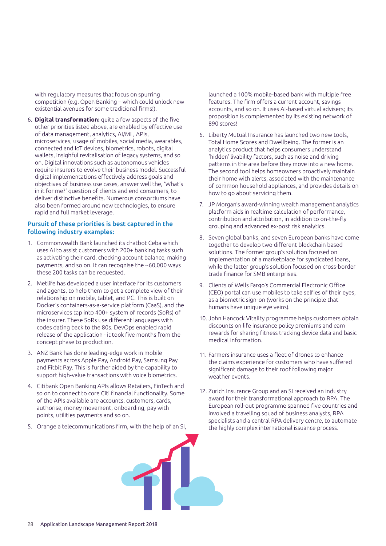with regulatory measures that focus on spurring competition (e.g. Open Banking – which could unlock new existential avenues for some traditional firms!).

6. **Digital transformation:** quite a few aspects of the five other priorities listed above, are enabled by effective use of data management, analytics, AI/ML, APIs, microservices, usage of mobiles, social media, wearables, connected and IoT devices, biometrics, robots, digital wallets, insighful revitalisation of legacy systems, and so on. Digital innovations such as autonomous vehicles require insurers to evolve their business model. Successful digital implementations effectively address goals and objectives of business use cases, answer well the, 'What's in it for me?' question of clients and end consumers, to deliver distinctive benefits. Numerous consortiums have also been formed around new technologies, to ensure rapid and full market leverage.

#### Pursuit of these priorities is best captured in the following industry examples:

- 1. Commonwealth Bank launched its chatbot Ceba which uses AI to assist customers with 200+ banking tasks such as activating their card, checking account balance, making payments, and so on. It can recognise the ~60,000 ways these 200 tasks can be requested.
- 2. Metlife has developed a user interface for its customers and agents, to help them to get a complete view of their relationship on mobile, tablet, and PC. This is built on Docker's containers-as-a-service platform (CaaS), and the microservices tap into 400+ system of records (SoRs) of the insurer. These SoRs use different languages with codes dating back to the 80s. DevOps enabled rapid release of the application - it took five months from the concept phase to production.
- 3. ANZ Bank has done leading-edge work in mobile payments across Apple Pay, Android Pay, Samsung Pay and Fitbit Pay. This is further aided by the capability to support high-value transactions with voice biometrics.
- 4. Citibank Open Banking APIs allows Retailers, FinTech and so on to connect to core Citi financial functionality. Some of the APIs available are accounts, customers, cards, authorise, money movement, onboarding, pay with points, utilities payments and so on.
- 5. Orange a telecommunications firm, with the help of an SI,

launched a 100% mobile-based bank with multiple free features. The firm offers a current account, savings accounts, and so on. It uses AI-based virtual advisers; its proposition is complemented by its existing network of 890 stores!

- 6. Liberty Mutual Insurance has launched two new tools, Total Home Scores and Dwellbeing. The former is an analytics product that helps consumers understand 'hidden' livability factors, such as noise and driving patterns in the area before they move into a new home. The second tool helps homeowners proactively maintain their home with alerts, associated with the maintenance of common household appliances, and provides details on how to go about servicing them.
- 7. JP Morgan's award-winning wealth management analytics platform aids in realtime calculation of performance, contribution and attribution, in addition to on-the-fly grouping and advanced ex-post risk analytics.
- 8. Seven global banks, and seven European banks have come together to develop two different blockchain based solutions. The former group's solution focused on implementation of a marketplace for syndicated loans, while the latter group's solution focused on cross-border trade finance for SMB enterprises.
- 9. Clients of Wells Fargo's Commercial Electronic Office (CEO) portal can use mobiles to take selfies of their eyes, as a biometric sign-on (works on the principle that humans have unique eye veins).
- 10. John Hancock Vitality programme helps customers obtain discounts on life insurance policy premiums and earn rewards for sharing fitness tracking device data and basic medical information.
- 11. Farmers insurance uses a fleet of drones to enhance the claims experience for customers who have suffered significant damage to their roof following major weather events.
- 12. Zurich Insurance Group and an SI received an industry award for their transformational approach to RPA. The European roll-out programme spanned five countries and involved a travelling squad of business analysts, RPA specialists and a central RPA delivery centre, to automate the highly complex international issuance process.